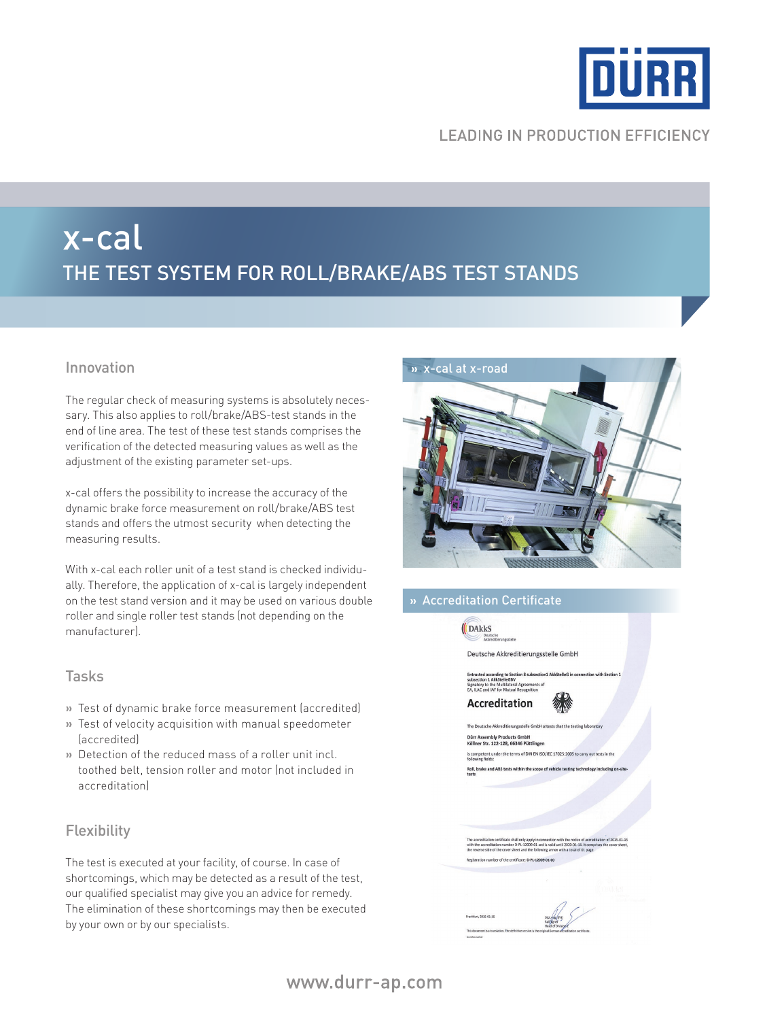

# **LEADING IN PRODUCTION EFFICIENCY**

# x-cal The test system for roll/brake/ABS Test Stands

The regular check of measuring systems is absolutely necessary. This also applies to roll/brake/ABS-test stands in the end of line area. The test of these test stands comprises the verification of the detected measuring values as well as the adjustment of the existing parameter set-ups.

x-cal offers the possibility to increase the accuracy of the dynamic brake force measurement on roll/brake/ABS test stands and offers the utmost security when detecting the measuring results.

With x-cal each roller unit of a test stand is checked individually. Therefore, the application of x-cal is largely independent on the test stand version and it may be used on various double roller and single roller test stands (not depending on the manufacturer).

### Tasks

- **»** Test of dynamic brake force measurement (accredited)
- **»** Test of velocity acquisition with manual speedometer (accredited)
- **»** Detection of the reduced mass of a roller unit incl. toothed belt, tension roller and motor (not included in accreditation)

# **Flexibility**

The test is executed at your facility, of course. In case of shortcomings, which may be detected as a result of the test, our qualified specialist may give you an advice for remedy. The elimination of these shortcomings may then be executed by your own or by our specialists.



# **»** Accreditation Certificate